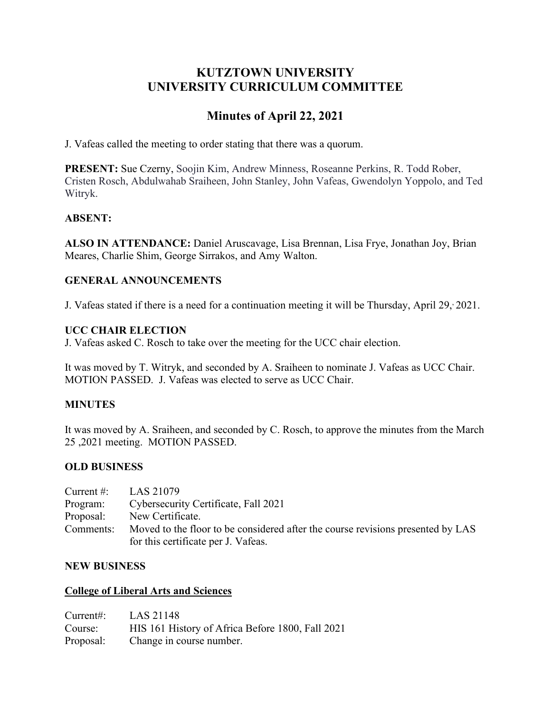## **KUTZTOWN UNIVERSITY UNIVERSITY CURRICULUM COMMITTEE**

# **Minutes of April 22, 2021**

J. Vafeas called the meeting to order stating that there was a quorum.

**PRESENT:** Sue Czerny, Soojin Kim, Andrew Minness, Roseanne Perkins, R. Todd Rober, Cristen Rosch, Abdulwahab Sraiheen, John Stanley, John Vafeas, Gwendolyn Yoppolo, and Ted Witryk.

## **ABSENT:**

**ALSO IN ATTENDANCE:** Daniel Aruscavage, Lisa Brennan, Lisa Frye, Jonathan Joy, Brian Meares, Charlie Shim, George Sirrakos, and Amy Walton.

## **GENERAL ANNOUNCEMENTS**

J. Vafeas stated if there is a need for a continuation meeting it will be Thursday, April 29, 2021.

## **UCC CHAIR ELECTION**

J. Vafeas asked C. Rosch to take over the meeting for the UCC chair election.

It was moved by T. Witryk, and seconded by A. Sraiheen to nominate J. Vafeas as UCC Chair. MOTION PASSED. J. Vafeas was elected to serve as UCC Chair.

## **MINUTES**

It was moved by A. Sraiheen, and seconded by C. Rosch, to approve the minutes from the March 25 ,2021 meeting. MOTION PASSED.

## **OLD BUSINESS**

| Current $#$ : | LAS 21079                                                                                                              |
|---------------|------------------------------------------------------------------------------------------------------------------------|
| Program:      | Cybersecurity Certificate, Fall 2021                                                                                   |
| Proposal:     | New Certificate.                                                                                                       |
| Comments:     | Moved to the floor to be considered after the course revisions presented by LAS<br>for this certificate per J. Vafeas. |
|               |                                                                                                                        |

#### **NEW BUSINESS**

#### **College of Liberal Arts and Sciences**

| $Current:$ LAS 21148 |                                                  |
|----------------------|--------------------------------------------------|
| Course:              | HIS 161 History of Africa Before 1800, Fall 2021 |
| Proposal:            | Change in course number.                         |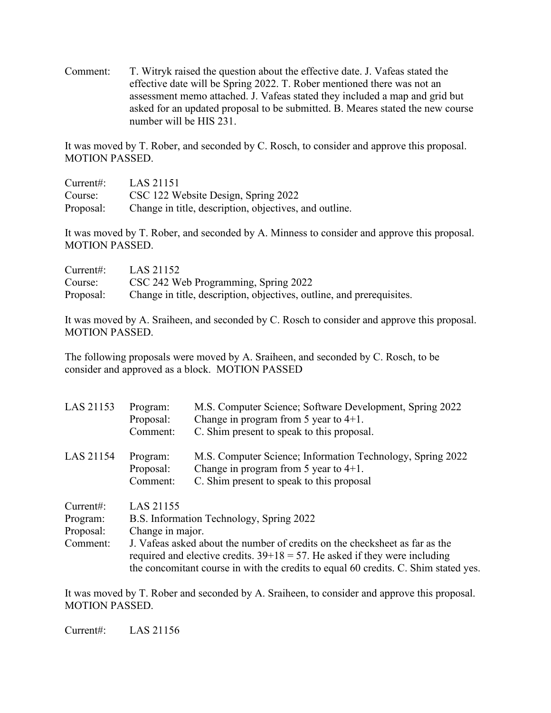Comment: T. Witryk raised the question about the effective date. J. Vafeas stated the effective date will be Spring 2022. T. Rober mentioned there was not an assessment memo attached. J. Vafeas stated they included a map and grid but asked for an updated proposal to be submitted. B. Meares stated the new course number will be HIS 231.

It was moved by T. Rober, and seconded by C. Rosch, to consider and approve this proposal. MOTION PASSED.

| Current:  | LAS 21151                                              |
|-----------|--------------------------------------------------------|
| Course:   | CSC 122 Website Design, Spring 2022                    |
| Proposal: | Change in title, description, objectives, and outline. |

It was moved by T. Rober, and seconded by A. Minness to consider and approve this proposal. MOTION PASSED.

| Current:  | LAS 21152                                                             |
|-----------|-----------------------------------------------------------------------|
| Course:   | CSC 242 Web Programming, Spring 2022                                  |
| Proposal: | Change in title, description, objectives, outline, and prerequisites. |

It was moved by A. Sraiheen, and seconded by C. Rosch to consider and approve this proposal. MOTION PASSED.

The following proposals were moved by A. Sraiheen, and seconded by C. Rosch, to be consider and approved as a block. MOTION PASSED

| LAS 21153                                     | Program:<br>Proposal:<br>Comment: | M.S. Computer Science; Software Development, Spring 2022<br>Change in program from 5 year to $4+1$ .<br>C. Shim present to speak to this proposal.                                                                                                                                              |
|-----------------------------------------------|-----------------------------------|-------------------------------------------------------------------------------------------------------------------------------------------------------------------------------------------------------------------------------------------------------------------------------------------------|
| LAS 21154                                     | Program:<br>Proposal:<br>Comment: | M.S. Computer Science; Information Technology, Spring 2022<br>Change in program from 5 year to $4+1$ .<br>C. Shim present to speak to this proposal                                                                                                                                             |
| Current:<br>Program:<br>Proposal:<br>Comment: | LAS 21155<br>Change in major.     | B.S. Information Technology, Spring 2022<br>J. Vafeas asked about the number of credits on the checksheet as far as the<br>required and elective credits. $39+18 = 57$ . He asked if they were including<br>the concomitant course in with the credits to equal 60 credits. C. Shim stated yes. |

It was moved by T. Rober and seconded by A. Sraiheen, to consider and approve this proposal. MOTION PASSED.

Current#: LAS 21156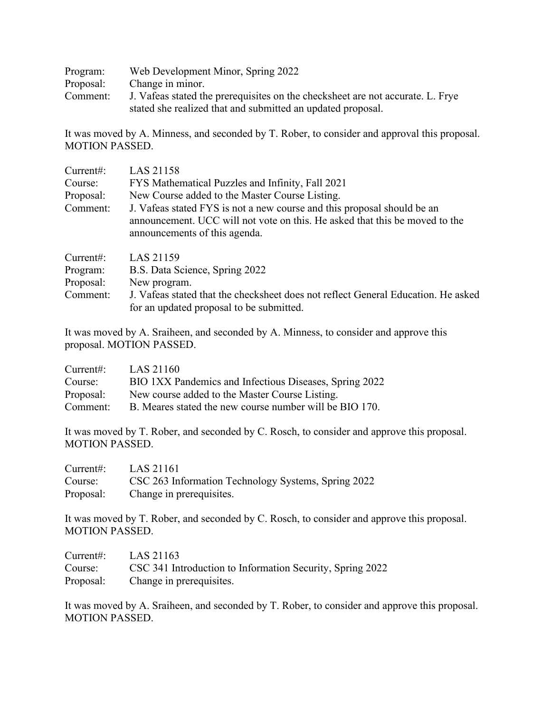| Program:  | Web Development Minor, Spring 2022                                             |
|-----------|--------------------------------------------------------------------------------|
| Proposal: | Change in minor.                                                               |
| Comment:  | J. Vafeas stated the prerequisites on the checksheet are not accurate. L. Frye |
|           | stated she realized that and submitted an updated proposal.                    |

It was moved by A. Minness, and seconded by T. Rober, to consider and approval this proposal. MOTION PASSED.

| Current:<br>Course:<br>Proposal:<br>Comment: | LAS 21158<br>FYS Mathematical Puzzles and Infinity, Fall 2021<br>New Course added to the Master Course Listing.<br>J. Vafeas stated FYS is not a new course and this proposal should be an |
|----------------------------------------------|--------------------------------------------------------------------------------------------------------------------------------------------------------------------------------------------|
| Current:                                     | announcement. UCC will not vote on this. He asked that this be moved to the<br>announcements of this agenda.<br>LAS 21159                                                                  |
| Program:                                     | B.S. Data Science, Spring 2022                                                                                                                                                             |
| Proposal:                                    | New program.                                                                                                                                                                               |
| Comment:                                     | J. Vafeas stated that the checksheet does not reflect General Education. He asked<br>for an updated proposal to be submitted.                                                              |

It was moved by A. Sraiheen, and seconded by A. Minness, to consider and approve this proposal. MOTION PASSED.

| Current:  | LAS 21160                                               |
|-----------|---------------------------------------------------------|
| Course:   | BIO 1XX Pandemics and Infectious Diseases, Spring 2022  |
| Proposal: | New course added to the Master Course Listing.          |
| Comment:  | B. Meares stated the new course number will be BIO 170. |

It was moved by T. Rober, and seconded by C. Rosch, to consider and approve this proposal. MOTION PASSED.

| Current:  | LAS 21161                                           |
|-----------|-----------------------------------------------------|
| Course:   | CSC 263 Information Technology Systems, Spring 2022 |
| Proposal: | Change in prerequisites.                            |

It was moved by T. Rober, and seconded by C. Rosch, to consider and approve this proposal. MOTION PASSED.

| Current:  | LAS 21163                                                 |
|-----------|-----------------------------------------------------------|
| Course:   | CSC 341 Introduction to Information Security, Spring 2022 |
| Proposal: | Change in prerequisites.                                  |

It was moved by A. Sraiheen, and seconded by T. Rober, to consider and approve this proposal. MOTION PASSED.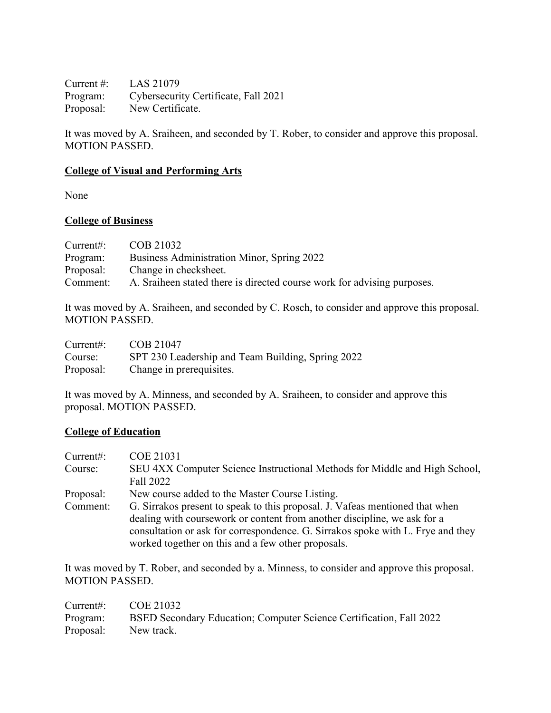Current #: LAS 21079 Program: Cybersecurity Certificate, Fall 2021 Proposal: New Certificate.

It was moved by A. Sraiheen, and seconded by T. Rober, to consider and approve this proposal. MOTION PASSED.

## **College of Visual and Performing Arts**

None

## **College of Business**

| Current:  | COB 21032                                                               |
|-----------|-------------------------------------------------------------------------|
| Program:  | Business Administration Minor, Spring 2022                              |
| Proposal: | Change in checksheet.                                                   |
| Comment:  | A. Sraiheen stated there is directed course work for advising purposes. |

It was moved by A. Sraiheen, and seconded by C. Rosch, to consider and approve this proposal. MOTION PASSED.

| Current:  | COB 21047                                         |
|-----------|---------------------------------------------------|
| Course:   | SPT 230 Leadership and Team Building, Spring 2022 |
| Proposal: | Change in prerequisites.                          |

It was moved by A. Minness, and seconded by A. Sraiheen, to consider and approve this proposal. MOTION PASSED.

#### **College of Education**

| Current:  | COE 21031                                                                       |
|-----------|---------------------------------------------------------------------------------|
| Course:   | SEU 4XX Computer Science Instructional Methods for Middle and High School,      |
|           | Fall 2022                                                                       |
| Proposal: | New course added to the Master Course Listing.                                  |
| Comment:  | G. Sirrakos present to speak to this proposal. J. Vafeas mentioned that when    |
|           | dealing with course work or content from another discipline, we ask for a       |
|           | consultation or ask for correspondence. G. Sirrakos spoke with L. Frye and they |
|           | worked together on this and a few other proposals.                              |

It was moved by T. Rober, and seconded by a. Minness, to consider and approve this proposal. MOTION PASSED.

| Current#: $COE 21032$ |                                                                              |
|-----------------------|------------------------------------------------------------------------------|
|                       | Program: BSED Secondary Education; Computer Science Certification, Fall 2022 |
| Proposal: New track.  |                                                                              |